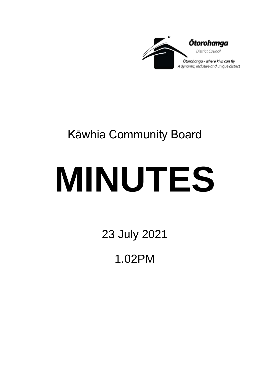

## Kāwhia Community Board

# **MINUTES**

23 July 2021

1.02PM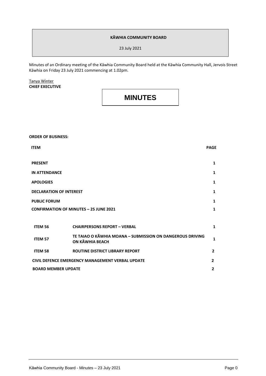#### **KĀWHIA COMMUNITY BOARD**

23 July 2021

Minutes of an Ordinary meeting of the Kāwhia Community Board held at the Kāwhia Community Hall, Jervois Street Kāwhia on Friday 23 July 2021 commencing at 1.02pm.

Tanya Winter **CHIEF EXECUTIVE**

### **MINUTES**

**ORDER OF BUSINESS: ITEM PAGE PRESENT 1 IN ATTENDANCE 1 APOLOGIES 1 DECLARATION OF INTEREST 1 PUBLIC FORUM CONFIRMATION OF MINUTES – 25 JUNE 2021 1 1 ITEM 56 CHAIRPERSONS REPORT – VERBAL 1 ITEM <sup>57</sup> TE TAIAO O KĀWHIA MOANA – SUBMISSION ON DANGEROUS DRIVING ON KĀWHIA BEACH 12 DENIES NORTHAND AND ANGLICOS** DRIVING **ITEM 58 ROUTINE DISTRICT LIBRARY REPORT 2 CIVIL DEFENCE EMERGENCY MANAGEMENT VERBAL UPDATE 2 BOARD MEMBER UPDATE 2**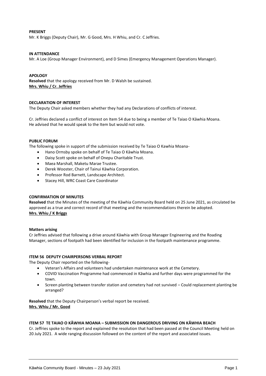#### **PRESENT**

Mr. K Briggs (Deputy Chair), Mr. G Good, Mrs. H Whiu, and Cr. C Jeffries.

#### **IN ATTENDANCE**

Mr. A Loe (Group Manager Environment), and D Simes (Emergency Management Operations Manager).

#### **APOLOGY**

**Resolved** that the apology received from Mr. D Walsh be sustained. **Mrs. Whiu / Cr. Jeffries**

#### **DECLARATION OF INTEREST**

The Deputy Chair asked members whether they had any Declarations of conflicts of interest.

Cr. Jeffries declared a conflict of interest on Item 54 due to being a member of Te Taiao O Kāwhia Moana. He advised that he would speak to the Item but would not vote.

#### **PUBLIC FORUM**

The following spoke in support of the submission received by Te Taiao O Kawhia Moana-

- Hano Ormsby spoke on behalf of Te Taiao O Kāwhia Moana.
- Daisy Scott spoke on behalf of Onepu Charitable Trust.
- Maea Marshall, Maketu Marae Trustee.
- Derek Wooster, Chair of Tainui Kāwhia Corporation.
- Professor Rod Barnett, Landscape Architect.
- Stacey Hill, WRC Coast Care Coordinator

#### **CONFIRMATION OF MINUTES**

**Resolved** that the Minutes of the meeting of the Kāwhia Community Board held on 25 June 2021, as circulated be approved as a true and correct record of that meeting and the recommendations therein be adopted. **Mrs. Whiu / K Briggs**

#### **Matters arising**

Cr Jeffries advised that following a drive around Kāwhia with Group Manager Engineering and the Roading Manager, sections of footpath had been identified for inclusion in the footpath maintenance programme.

#### **ITEM 56 DEPUTY CHAIRPERSONS VERBAL REPORT**

The Deputy Chair reported on the following-

- Veteran's Affairs and volunteers had undertaken maintenance work at the Cemetery.
- COVID Vaccination Programme had commenced in Kāwhia and further days were programmed for the town.
- Screen planting between transfer station and cemetery had not survived Could replacement planting be arranged?

**Resolved** that the Deputy Chairperson's verbal report be received. **Mrs. Whiu / Mr. Good**

#### **ITEM 57 TE TAIAO O KĀWHIA MOANA – SUBMISSION ON DANGEROUS DRIVING ON KĀWHIA BEACH**

Cr. Jeffries spoke to the report and explained the resolution that had been passed at the Council Meeting held on 20 July 2021. A wide ranging discussion followed on the content of the report and associated issues.